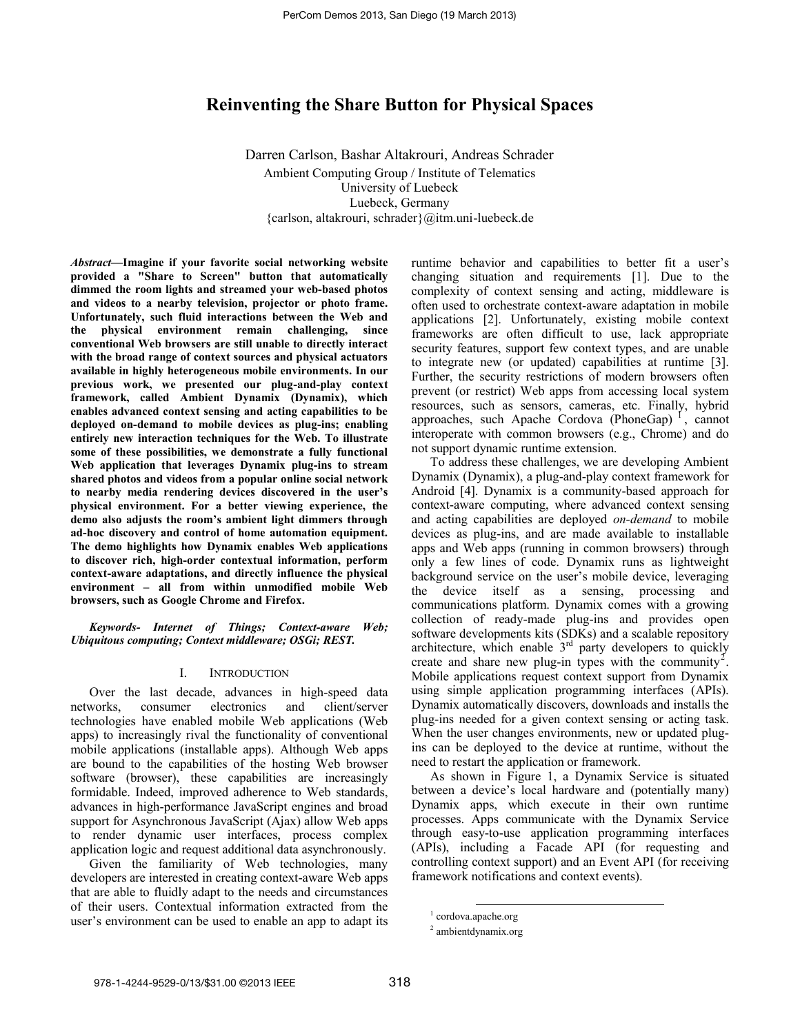# **Reinventing the Share Button for Physical Spaces**

Darren Carlson, Bashar Altakrouri, Andreas Schrader Ambient Computing Group / Institute of Telematics University of Luebeck Luebeck, Germany {carlson, altakrouri, schrader}@itm.uni-luebeck.de

*Abstract***—Imagine if your favorite social networking website provided a "Share to Screen" button that automatically dimmed the room lights and streamed your web-based photos and videos to a nearby television, projector or photo frame. Unfortunately, such fluid interactions between the Web and the physical environment remain challenging, since conventional Web browsers are still unable to directly interact with the broad range of context sources and physical actuators available in highly heterogeneous mobile environments. In our previous work, we presented our plug-and-play context framework, called Ambient Dynamix (Dynamix), which enables advanced context sensing and acting capabilities to be deployed on-demand to mobile devices as plug-ins; enabling entirely new interaction techniques for the Web. To illustrate some of these possibilities, we demonstrate a fully functional Web application that leverages Dynamix plug-ins to stream shared photos and videos from a popular online social network to nearby media rendering devices discovered in the user's physical environment. For a better viewing experience, the demo also adjusts the room's ambient light dimmers through ad-hoc discovery and control of home automation equipment. The demo highlights how Dynamix enables Web applications to discover rich, high-order contextual information, perform context-aware adaptations, and directly influence the physical environment – all from within unmodified mobile Web browsers, such as Google Chrome and Firefox.** 

*Keywords- Internet of Things; Context-aware Web; Ubiquitous computing; Context middleware; OSGi; REST.*

#### I. INTRODUCTION

Over the last decade, advances in high-speed data networks, consumer electronics and client/server technologies have enabled mobile Web applications (Web apps) to increasingly rival the functionality of conventional mobile applications (installable apps). Although Web apps are bound to the capabilities of the hosting Web browser software (browser), these capabilities are increasingly formidable. Indeed, improved adherence to Web standards, advances in high-performance JavaScript engines and broad support for Asynchronous JavaScript (Ajax) allow Web apps to render dynamic user interfaces, process complex application logic and request additional data asynchronously.

Given the familiarity of Web technologies, many developers are interested in creating context-aware Web apps that are able to fluidly adapt to the needs and circumstances of their users. Contextual information extracted from the user's environment can be used to enable an app to adapt its runtime behavior and capabilities to better fit a user's changing situation and requirements [1]. Due to the complexity of context sensing and acting, middleware is often used to orchestrate context-aware adaptation in mobile applications [2]. Unfortunately, existing mobile context frameworks are often difficult to use, lack appropriate security features, support few context types, and are unable to integrate new (or updated) capabilities at runtime [3]. Further, the security restrictions of modern browsers often prevent (or restrict) Web apps from accessing local system resources, such as sensors, cameras, etc. Finally, hybrid approaches, such Apache Cordova (PhoneGap)<sup>1</sup> , cannot interoperate with common browsers (e.g., Chrome) and do not support dynamic runtime extension.

To address these challenges, we are developing Ambient Dynamix (Dynamix), a plug-and-play context framework for Android [4]. Dynamix is a community-based approach for context-aware computing, where advanced context sensing and acting capabilities are deployed *on-demand* to mobile devices as plug-ins, and are made available to installable apps and Web apps (running in common browsers) through only a few lines of code. Dynamix runs as lightweight background service on the user's mobile device, leveraging the device itself as a sensing, processing and communications platform. Dynamix comes with a growing collection of ready-made plug-ins and provides open software developments kits (SDKs) and a scalable repository architecture, which enable  $3<sup>rd</sup>$  party developers to quickly create and share new plug-in types with the community<sup>2</sup>. Mobile applications request context support from Dynamix using simple application programming interfaces (APIs). Dynamix automatically discovers, downloads and installs the plug-ins needed for a given context sensing or acting task. When the user changes environments, new or updated plugins can be deployed to the device at runtime, without the need to restart the application or framework.

As shown in Figure 1, a Dynamix Service is situated between a device's local hardware and (potentially many) Dynamix apps, which execute in their own runtime processes. Apps communicate with the Dynamix Service through easy-to-use application programming interfaces (APIs), including a Facade API (for requesting and controlling context support) and an Event API (for receiving framework notifications and context events).

 $\overline{a}$ 1 cordova.apache.org

<sup>&</sup>lt;sup>2</sup> ambientdynamix.org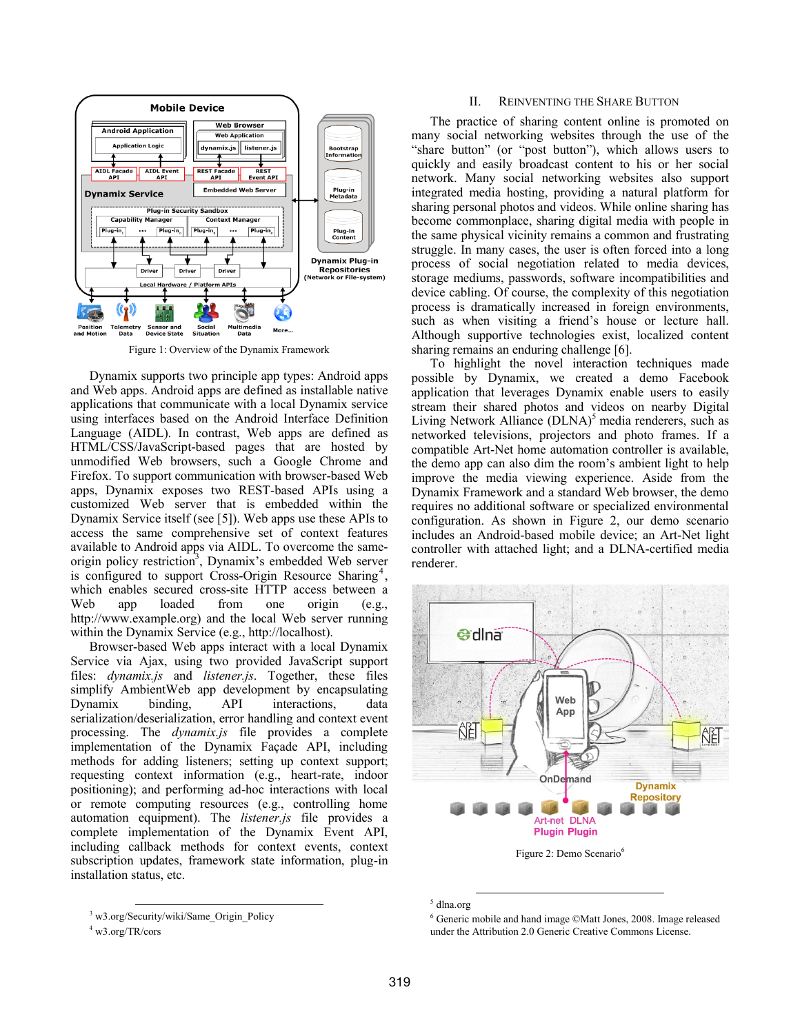

Figure 1: Overview of the Dynamix Framework

Dynamix supports two principle app types: Android apps and Web apps. Android apps are defined as installable native applications that communicate with a local Dynamix service using interfaces based on the Android Interface Definition Language (AIDL). In contrast, Web apps are defined as HTML/CSS/JavaScript-based pages that are hosted by unmodified Web browsers, such a Google Chrome and Firefox. To support communication with browser-based Web apps, Dynamix exposes two REST-based APIs using a customized Web server that is embedded within the Dynamix Service itself (see [5]). Web apps use these APIs to access the same comprehensive set of context features available to Android apps via AIDL. To overcome the sameorigin policy restriction<sup>3</sup>, Dynamix's embedded Web server is configured to support Cross-Origin Resource Sharing<sup>4</sup>, which enables secured cross-site HTTP access between a Web app loaded from one origin (e.g., http://www.example.org) and the local Web server running within the Dynamix Service (e.g., http://localhost).

Browser-based Web apps interact with a local Dynamix Service via Ajax, using two provided JavaScript support files: *dynamix.js* and *listener.js*. Together, these files simplify AmbientWeb app development by encapsulating Dynamix binding, API interactions, data serialization/deserialization, error handling and context event processing. The *dynamix.js* file provides a complete implementation of the Dynamix Façade API, including methods for adding listeners; setting up context support; requesting context information (e.g., heart-rate, indoor positioning); and performing ad-hoc interactions with local or remote computing resources (e.g., controlling home automation equipment). The *listener.js* file provides a complete implementation of the Dynamix Event API, including callback methods for context events, context subscription updates, framework state information, plug-in installation status, etc.

l

## II. REINVENTING THE SHARE BUTTON

The practice of sharing content online is promoted on many social networking websites through the use of the "share button" (or "post button"), which allows users to quickly and easily broadcast content to his or her social network. Many social networking websites also support integrated media hosting, providing a natural platform for sharing personal photos and videos. While online sharing has become commonplace, sharing digital media with people in the same physical vicinity remains a common and frustrating struggle. In many cases, the user is often forced into a long process of social negotiation related to media devices, storage mediums, passwords, software incompatibilities and device cabling. Of course, the complexity of this negotiation process is dramatically increased in foreign environments, such as when visiting a friend's house or lecture hall. Although supportive technologies exist, localized content sharing remains an enduring challenge [6].

To highlight the novel interaction techniques made possible by Dynamix, we created a demo Facebook application that leverages Dynamix enable users to easily stream their shared photos and videos on nearby Digital Living Network Alliance  $(DLNA)^5$  media renderers, such as networked televisions, projectors and photo frames. If a compatible Art-Net home automation controller is available, the demo app can also dim the room's ambient light to help improve the media viewing experience. Aside from the Dynamix Framework and a standard Web browser, the demo requires no additional software or specialized environmental configuration. As shown in Figure 2, our demo scenario includes an Android-based mobile device; an Art-Net light controller with attached light; and a DLNA-certified media renderer.



Figure 2: Demo Scenario<sup>6</sup>

5 dlna.org

 $\overline{a}$ 

<sup>&</sup>lt;sup>3</sup> w3.org/Security/wiki/Same\_Origin\_Policy

 $4$  w<sub>3.org</sub>/TR/cors

<sup>6</sup> Generic mobile and hand image ©Matt Jones, 2008. Image released under the Attribution 2.0 Generic Creative Commons License.